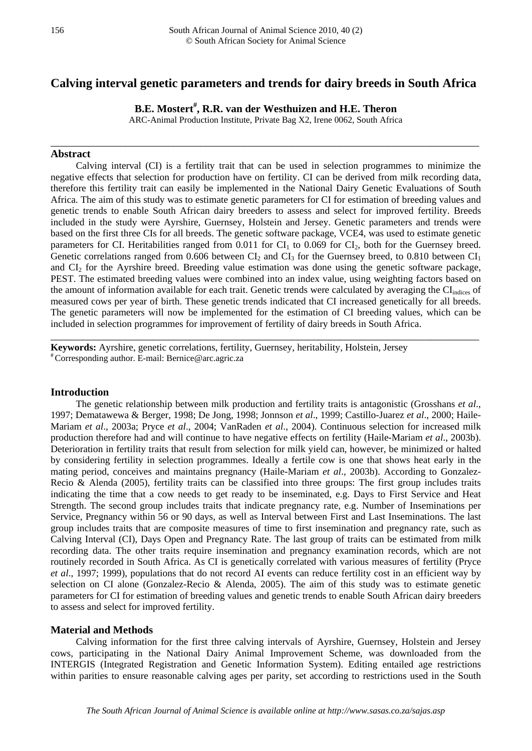# **Calving interval genetic parameters and trends for dairy breeds in South Africa**

**B.E. Mostert# , R.R. van der Westhuizen and H.E. Theron**

ARC-Animal Production Institute, Private Bag X2, Irene 0062, South Africa

\_\_\_\_\_\_\_\_\_\_\_\_\_\_\_\_\_\_\_\_\_\_\_\_\_\_\_\_\_\_\_\_\_\_\_\_\_\_\_\_\_\_\_\_\_\_\_\_\_\_\_\_\_\_\_\_\_\_\_\_\_\_\_\_\_\_\_\_\_\_\_\_\_\_\_\_\_\_\_\_

### **Abstract**

Calving interval (CI) is a fertility trait that can be used in selection programmes to minimize the negative effects that selection for production have on fertility. CI can be derived from milk recording data, therefore this fertility trait can easily be implemented in the National Dairy Genetic Evaluations of South Africa. The aim of this study was to estimate genetic parameters for CI for estimation of breeding values and genetic trends to enable South African dairy breeders to assess and select for improved fertility. Breeds included in the study were Ayrshire, Guernsey, Holstein and Jersey. Genetic parameters and trends were based on the first three CIs for all breeds. The genetic software package, VCE4, was used to estimate genetic parameters for CI. Heritabilities ranged from  $0.011$  for CI<sub>1</sub> to  $0.069$  for CI<sub>2</sub>, both for the Guernsey breed. Genetic correlations ranged from 0.606 between  $CI_2$  and  $CI_3$  for the Guernsey breed, to 0.810 between  $CI_1$ and  $CI_2$  for the Ayrshire breed. Breeding value estimation was done using the genetic software package, PEST. The estimated breeding values were combined into an index value, using weighting factors based on the amount of information available for each trait. Genetic trends were calculated by averaging the CIindices of measured cows per year of birth. These genetic trends indicated that CI increased genetically for all breeds. The genetic parameters will now be implemented for the estimation of CI breeding values, which can be included in selection programmes for improvement of fertility of dairy breeds in South Africa.

\_\_\_\_\_\_\_\_\_\_\_\_\_\_\_\_\_\_\_\_\_\_\_\_\_\_\_\_\_\_\_\_\_\_\_\_\_\_\_\_\_\_\_\_\_\_\_\_\_\_\_\_\_\_\_\_\_\_\_\_\_\_\_\_\_\_\_\_\_\_\_\_\_\_\_\_\_\_\_\_

**Keywords:** Ayrshire, genetic correlations, fertility, Guernsey, heritability, Holstein, Jersey #Corresponding author. E-mail: Bernice@arc.agric.za

### **Introduction**

The genetic relationship between milk production and fertility traits is antagonistic (Grosshans *et al*., 1997; Dematawewa & Berger, 1998; De Jong, 1998; Jonnson *et al*., 1999; Castillo-Juarez *et al*., 2000; Haile-Mariam *et al*., 2003a; Pryce *et al*., 2004; VanRaden *et al*., 2004). Continuous selection for increased milk production therefore had and will continue to have negative effects on fertility (Haile-Mariam *et al*., 2003b). Deterioration in fertility traits that result from selection for milk yield can, however, be minimized or halted by considering fertility in selection programmes. Ideally a fertile cow is one that shows heat early in the mating period, conceives and maintains pregnancy (Haile-Mariam *et al*., 2003b). According to Gonzalez-Recio & Alenda (2005), fertility traits can be classified into three groups: The first group includes traits indicating the time that a cow needs to get ready to be inseminated, e.g. Days to First Service and Heat Strength. The second group includes traits that indicate pregnancy rate, e.g. Number of Inseminations per Service, Pregnancy within 56 or 90 days, as well as Interval between First and Last Inseminations. The last group includes traits that are composite measures of time to first insemination and pregnancy rate, such as Calving Interval (CI), Days Open and Pregnancy Rate. The last group of traits can be estimated from milk recording data. The other traits require insemination and pregnancy examination records, which are not routinely recorded in South Africa. As CI is genetically correlated with various measures of fertility (Pryce *et al*., 1997; 1999), populations that do not record AI events can reduce fertility cost in an efficient way by selection on CI alone (Gonzalez-Recio & Alenda, 2005). The aim of this study was to estimate genetic parameters for CI for estimation of breeding values and genetic trends to enable South African dairy breeders to assess and select for improved fertility.

### **Material and Methods**

Calving information for the first three calving intervals of Ayrshire, Guernsey, Holstein and Jersey cows, participating in the National Dairy Animal Improvement Scheme, was downloaded from the INTERGIS (Integrated Registration and Genetic Information System). Editing entailed age restrictions within parities to ensure reasonable calving ages per parity, set according to restrictions used in the South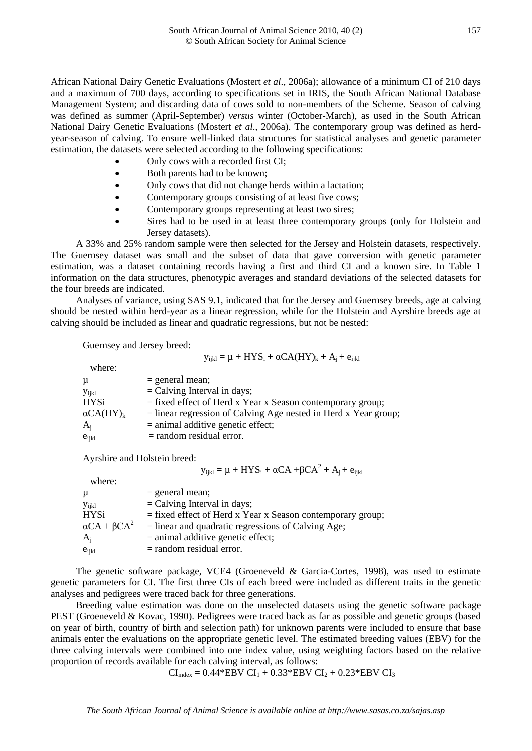African National Dairy Genetic Evaluations (Mostert *et al*., 2006a); allowance of a minimum CI of 210 days and a maximum of 700 days, according to specifications set in IRIS, the South African National Database Management System; and discarding data of cows sold to non-members of the Scheme. Season of calving was defined as summer (April-September) *versus* winter (October-March), as used in the South African National Dairy Genetic Evaluations (Mostert *et al*., 2006a). The contemporary group was defined as herdyear-season of calving. To ensure well-linked data structures for statistical analyses and genetic parameter estimation, the datasets were selected according to the following specifications:

- Only cows with a recorded first CI;
- Both parents had to be known;
- Only cows that did not change herds within a lactation;
- Contemporary groups consisting of at least five cows;
- Contemporary groups representing at least two sires;
- Sires had to be used in at least three contemporary groups (only for Holstein and Jersey datasets).

A 33% and 25% random sample were then selected for the Jersey and Holstein datasets, respectively. The Guernsey dataset was small and the subset of data that gave conversion with genetic parameter estimation, was a dataset containing records having a first and third CI and a known sire. In Table 1 information on the data structures, phenotypic averages and standard deviations of the selected datasets for the four breeds are indicated.

Analyses of variance, using SAS 9.1, indicated that for the Jersey and Guernsey breeds, age at calving should be nested within herd-year as a linear regression, while for the Holstein and Ayrshire breeds age at calving should be included as linear and quadratic regressions, but not be nested:

Guernsey and Jersey breed:

$$
y_{ijkl} = \mu + HYS_i + \alpha CA (HY)_k + A_j + e_{ijkl}
$$

| $=$ general mean;                                                 |
|-------------------------------------------------------------------|
| $=$ Calving Interval in days;                                     |
| $=$ fixed effect of Herd x Year x Season contemporary group;      |
| $=$ linear regression of Calving Age nested in Herd x Year group; |
| $=$ animal additive genetic effect;                               |
| $=$ random residual error.                                        |
|                                                                   |

Ayrshire and Holstein breed:

$$
y_{ijkl} = \mu + HYS_i + \alpha CA + \beta CA^2 + A_j + e_{ijkl}
$$

 where:  $\mu$  = general mean;  $y_{ijkl}$  = Calving Interval in days; HYSi = fixed effect of Herd x Year x Season contemporary group;<br> $\alpha CA + \beta CA^2$  = linear and quadratic regressions of Calving Age;  $=$  linear and quadratic regressions of Calving Age;  $A_i$  = animal additive genetic effect;  $e_{ijkl}$  = random residual error.

The genetic software package, VCE4 (Groeneveld & Garcia-Cortes, 1998), was used to estimate genetic parameters for CI. The first three CIs of each breed were included as different traits in the genetic analyses and pedigrees were traced back for three generations.

Breeding value estimation was done on the unselected datasets using the genetic software package PEST (Groeneveld & Kovac, 1990). Pedigrees were traced back as far as possible and genetic groups (based on year of birth, country of birth and selection path) for unknown parents were included to ensure that base animals enter the evaluations on the appropriate genetic level. The estimated breeding values (EBV) for the three calving intervals were combined into one index value, using weighting factors based on the relative proportion of records available for each calving interval, as follows:

 $CI_{index} = 0.44*EBV CI_1 + 0.33*EBV CI_2 + 0.23*EBV CI_3$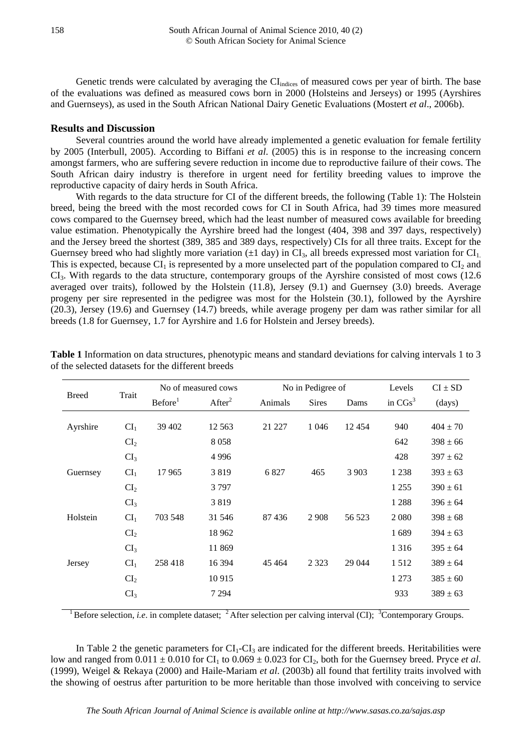Genetic trends were calculated by averaging the CI<sub>indices</sub> of measured cows per year of birth. The base of the evaluations was defined as measured cows born in 2000 (Holsteins and Jerseys) or 1995 (Ayrshires and Guernseys), as used in the South African National Dairy Genetic Evaluations (Mostert *et al*., 2006b).

#### **Results and Discussion**

Several countries around the world have already implemented a genetic evaluation for female fertility by 2005 (Interbull, 2005). According to Biffani *et al*. (2005) this is in response to the increasing concern amongst farmers, who are suffering severe reduction in income due to reproductive failure of their cows. The South African dairy industry is therefore in urgent need for fertility breeding values to improve the reproductive capacity of dairy herds in South Africa.

With regards to the data structure for CI of the different breeds, the following (Table 1): The Holstein breed, being the breed with the most recorded cows for CI in South Africa, had 39 times more measured cows compared to the Guernsey breed, which had the least number of measured cows available for breeding value estimation. Phenotypically the Ayrshire breed had the longest (404, 398 and 397 days, respectively) and the Jersey breed the shortest (389, 385 and 389 days, respectively) CIs for all three traits. Except for the Guernsey breed who had slightly more variation  $(\pm 1 \text{ day})$  in CI<sub>3</sub>, all breeds expressed most variation for CI<sub>1</sub>. This is expected, because  $CI_1$  is represented by a more unselected part of the population compared to  $CI_2$  and CI3. With regards to the data structure, contemporary groups of the Ayrshire consisted of most cows (12.6 averaged over traits), followed by the Holstein (11.8), Jersey (9.1) and Guernsey (3.0) breeds. Average progeny per sire represented in the pedigree was most for the Holstein (30.1), followed by the Ayrshire (20.3), Jersey (19.6) and Guernsey (14.7) breeds, while average progeny per dam was rather similar for all breeds (1.8 for Guernsey, 1.7 for Ayrshire and 1.6 for Holstein and Jersey breeds).

| Trait           | No of measured cows |                    | No in Pedigree of |              | Levels  | $CI \pm SD$ |              |
|-----------------|---------------------|--------------------|-------------------|--------------|---------|-------------|--------------|
|                 | Before <sup>1</sup> | After <sup>2</sup> | Animals           | <b>Sires</b> | Dams    | in $CGs^3$  | (days)       |
|                 |                     |                    |                   |              |         |             |              |
|                 |                     |                    |                   |              |         |             | $404 \pm 70$ |
| CI <sub>2</sub> |                     | 8058               |                   |              |         | 642         | $398 \pm 66$ |
| CI <sub>3</sub> |                     | 4996               |                   |              |         | 428         | $397 \pm 62$ |
| CI <sub>1</sub> | 17965               | 3819               | 6827              | 465          | 3 9 0 3 | 1 2 3 8     | $393 \pm 63$ |
| CI <sub>2</sub> |                     | 3797               |                   |              |         | 1 2 5 5     | $390 \pm 61$ |
| CI <sub>3</sub> |                     | 3819               |                   |              |         | 1 2 8 8     | $396 \pm 64$ |
| CI <sub>1</sub> | 703 548             | 31 546             | 87436             | 2 9 0 8      | 56 523  | 2 0 8 0     | $398 \pm 68$ |
| CI <sub>2</sub> |                     | 18 9 62            |                   |              |         | 1689        | $394 \pm 63$ |
| CI <sub>3</sub> |                     | 11 869             |                   |              |         | 1 3 1 6     | $395 \pm 64$ |
| CI <sub>1</sub> | 258418              | 16 394             | 45 4 64           | 2 3 2 3      | 29 044  | 1512        | $389 \pm 64$ |
| CI <sub>2</sub> |                     | 10915              |                   |              |         | 1 2 7 3     | $385 \pm 60$ |
| CI <sub>3</sub> |                     | 7 2 9 4            |                   |              |         | 933         | $389 \pm 63$ |
|                 | CI <sub>1</sub>     | 39 402             | 12 5 63           | 21 227       | 1 0 4 6 | 12454       | 940          |

**Table 1** Information on data structures, phenotypic means and standard deviations for calving intervals 1 to 3 of the selected datasets for the different breeds

<sup>1</sup> Before selection, *i.e.* in complete dataset;  $^2$  After selection per calving interval (CI);  $^3$ Contemporary Groups.

In Table 2 the genetic parameters for  $CI_1$ - $CI_3$  are indicated for the different breeds. Heritabilities were low and ranged from  $0.011 \pm 0.010$  for CI<sub>1</sub> to  $0.069 \pm 0.023$  for CI<sub>2</sub>, both for the Guernsey breed. Pryce *et al.* (1999), Weigel & Rekaya (2000) and Haile-Mariam *et al*. (2003b) all found that fertility traits involved with the showing of oestrus after parturition to be more heritable than those involved with conceiving to service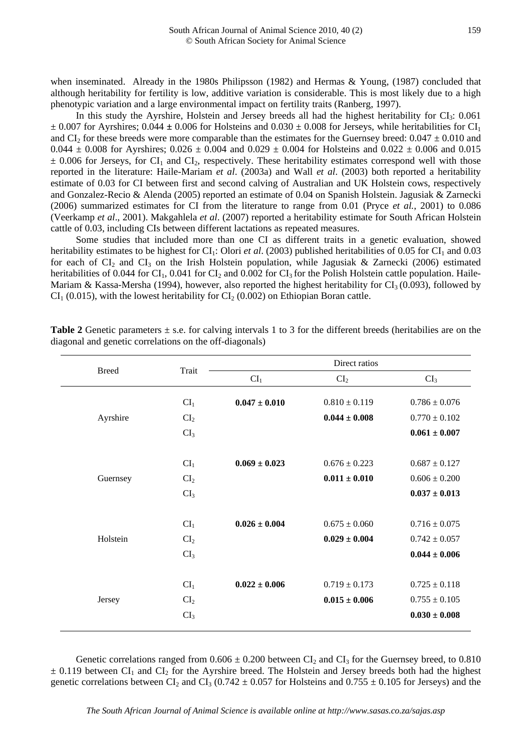when inseminated. Already in the 1980s Philipsson (1982) and Hermas & Young, (1987) concluded that although heritability for fertility is low, additive variation is considerable. This is most likely due to a high phenotypic variation and a large environmental impact on fertility traits (Ranberg, 1997).

In this study the Ayrshire, Holstein and Jersey breeds all had the highest heritability for  $CI<sub>3</sub>: 0.061$  $\pm$  0.007 for Ayrshires; 0.044  $\pm$  0.006 for Holsteins and 0.030  $\pm$  0.008 for Jerseys, while heritabilities for CI<sub>1</sub> and CI<sub>2</sub> for these breeds were more comparable than the estimates for the Guernsey breed:  $0.047 \pm 0.010$  and 0.044  $\pm$  0.008 for Ayrshires; 0.026  $\pm$  0.004 and 0.029  $\pm$  0.004 for Holsteins and 0.022  $\pm$  0.006 and 0.015  $\pm$  0.006 for Jerseys, for CI<sub>1</sub> and CI<sub>2</sub>, respectively. These heritability estimates correspond well with those reported in the literature: Haile-Mariam *et al*. (2003a) and Wall *et al*. (2003) both reported a heritability estimate of 0.03 for CI between first and second calving of Australian and UK Holstein cows, respectively and Gonzalez-Recio & Alenda (2005) reported an estimate of 0.04 on Spanish Holstein. Jagusiak & Zarnecki (2006) summarized estimates for CI from the literature to range from 0.01 (Pryce *et al.*, 2001) to 0.086 (Veerkamp *et al*., 2001). Makgahlela *et al*. (2007) reported a heritability estimate for South African Holstein cattle of 0.03, including CIs between different lactations as repeated measures.

Some studies that included more than one CI as different traits in a genetic evaluation, showed heritability estimates to be highest for CI<sub>1</sub>: Olori *et al.* (2003) published heritabilities of 0.05 for CI<sub>1</sub> and 0.03 for each of  $CI_2$  and  $CI_3$  on the Irish Holstein population, while Jagusiak & Zarnecki (2006) estimated heritabilities of 0.044 for CI<sub>1</sub>, 0.041 for CI<sub>2</sub> and 0.002 for CI<sub>3</sub> for the Polish Holstein cattle population. Haile-Mariam & Kassa-Mersha (1994), however, also reported the highest heritability for  $CI<sub>3</sub>$  (0.093), followed by  $CI<sub>1</sub>$  (0.015), with the lowest heritability for  $CI<sub>2</sub>$  (0.002) on Ethiopian Boran cattle.

| <b>Breed</b> | Trait           | Direct ratios     |                   |                   |  |  |
|--------------|-----------------|-------------------|-------------------|-------------------|--|--|
|              |                 | CI <sub>1</sub>   | CI <sub>2</sub>   | CI <sub>3</sub>   |  |  |
|              | CI <sub>1</sub> | $0.047 \pm 0.010$ | $0.810 \pm 0.119$ | $0.786 \pm 0.076$ |  |  |
|              |                 |                   |                   |                   |  |  |
| Ayrshire     | CI <sub>2</sub> |                   | $0.044 \pm 0.008$ | $0.770 \pm 0.102$ |  |  |
|              | CI <sub>3</sub> |                   |                   | $0.061 \pm 0.007$ |  |  |
|              |                 |                   |                   |                   |  |  |
|              | CI <sub>1</sub> | $0.069 \pm 0.023$ | $0.676 \pm 0.223$ | $0.687 \pm 0.127$ |  |  |
| Guernsey     | CI <sub>2</sub> |                   | $0.011 \pm 0.010$ | $0.606 \pm 0.200$ |  |  |
|              | CI <sub>3</sub> |                   |                   | $0.037 \pm 0.013$ |  |  |
|              |                 |                   |                   |                   |  |  |
|              | CI <sub>1</sub> | $0.026 \pm 0.004$ | $0.675 \pm 0.060$ | $0.716 \pm 0.075$ |  |  |
| Holstein     | CI <sub>2</sub> |                   | $0.029 \pm 0.004$ | $0.742 \pm 0.057$ |  |  |
|              | CI <sub>3</sub> |                   |                   | $0.044 \pm 0.006$ |  |  |
|              |                 |                   |                   |                   |  |  |
|              | CI <sub>1</sub> | $0.022 \pm 0.006$ | $0.719 \pm 0.173$ | $0.725 \pm 0.118$ |  |  |
| Jersey       | CI <sub>2</sub> |                   | $0.015 \pm 0.006$ | $0.755 \pm 0.105$ |  |  |
|              | CI <sub>3</sub> |                   |                   | $0.030 \pm 0.008$ |  |  |
|              |                 |                   |                   |                   |  |  |

**Table 2** Genetic parameters  $\pm$  s.e. for calving intervals 1 to 3 for the different breeds (heritabilies are on the diagonal and genetic correlations on the off-diagonals)

Genetic correlations ranged from  $0.606 \pm 0.200$  between CI<sub>2</sub> and CI<sub>3</sub> for the Guernsey breed, to 0.810  $\pm$  0.119 between CI<sub>1</sub> and CI<sub>2</sub> for the Ayrshire breed. The Holstein and Jersey breeds both had the highest genetic correlations between CI<sub>2</sub> and CI<sub>3</sub> (0.742  $\pm$  0.057 for Holsteins and 0.755  $\pm$  0.105 for Jerseys) and the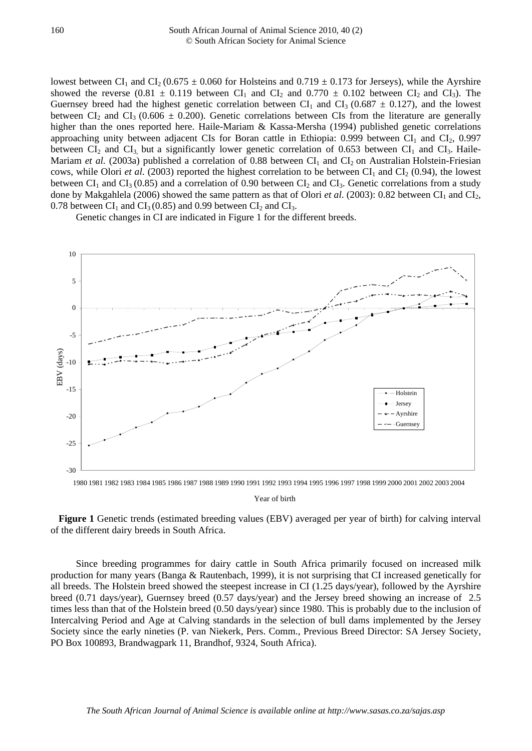lowest between CI<sub>1</sub> and CI<sub>2</sub> (0.675  $\pm$  0.060 for Holsteins and 0.719  $\pm$  0.173 for Jerseys), while the Ayrshire showed the reverse (0.81  $\pm$  0.119 between CI<sub>1</sub> and CI<sub>2</sub> and 0.770  $\pm$  0.102 between CI<sub>2</sub> and CI<sub>3</sub>). The Guernsey breed had the highest genetic correlation between  $CI_1$  and  $CI_3$  (0.687  $\pm$  0.127), and the lowest between CI<sub>2</sub> and CI<sub>3</sub> (0.606  $\pm$  0.200). Genetic correlations between CIs from the literature are generally higher than the ones reported here. Haile-Mariam & Kassa-Mersha (1994) published genetic correlations approaching unity between adjacent CIs for Boran cattle in Ethiopia:  $0.999$  between CI<sub>1</sub> and CI<sub>2</sub>,  $0.997$ between  $CI_2$  and  $CI_3$  but a significantly lower genetic correlation of 0.653 between  $CI_1$  and  $CI_3$ . Haile-Mariam *et al.* (2003a) published a correlation of 0.88 between  $CI_1$  and  $CI_2$  on Australian Holstein-Friesian cows, while Olori *et al.* (2003) reported the highest correlation to be between CI<sub>1</sub> and CI<sub>2</sub> (0.94), the lowest between  $CI_1$  and  $CI_3$  (0.85) and a correlation of 0.90 between  $CI_2$  and  $CI_3$ . Genetic correlations from a study done by Makgahlela (2006) showed the same pattern as that of Olori *et al.* (2003): 0.82 between CI<sub>1</sub> and CI<sub>2</sub>, 0.78 between  $CI_1$  and  $CI_3$  (0.85) and 0.99 between  $CI_2$  and  $CI_3$ .

Genetic changes in CI are indicated in Figure 1 for the different breeds.



1980 1981 1982 1983 1984 1985 1986 1987 1988 1989 1990 1991 1992 1993 1994 1995 1996 1997 1998 1999 2000 2001 2002 2003 2004

Year of birth

**Figure 1** Genetic trends (estimated breeding values (EBV) averaged per year of birth) for calving interval of the different dairy breeds in South Africa.

Since breeding programmes for dairy cattle in South Africa primarily focused on increased milk production for many years (Banga & Rautenbach, 1999), it is not surprising that CI increased genetically for all breeds. The Holstein breed showed the steepest increase in CI (1.25 days/year), followed by the Ayrshire breed (0.71 days/year), Guernsey breed (0.57 days/year) and the Jersey breed showing an increase of 2.5 times less than that of the Holstein breed (0.50 days/year) since 1980. This is probably due to the inclusion of Intercalving Period and Age at Calving standards in the selection of bull dams implemented by the Jersey Society since the early nineties (P. van Niekerk, Pers. Comm., Previous Breed Director: SA Jersey Society, PO Box 100893, Brandwagpark 11, Brandhof, 9324, South Africa).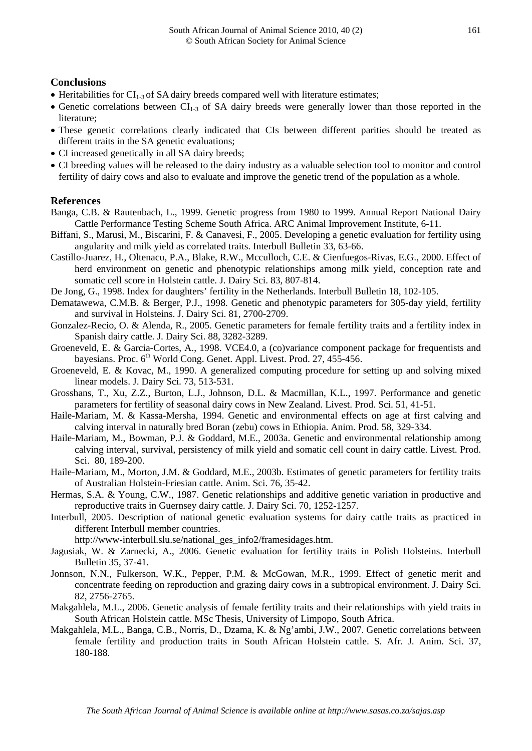## **Conclusions**

- Heritabilities for  $CI_{1,3}$  of SA dairy breeds compared well with literature estimates;
- Genetic correlations between  $CI<sub>1-3</sub>$  of SA dairy breeds were generally lower than those reported in the literature;
- These genetic correlations clearly indicated that CIs between different parities should be treated as different traits in the SA genetic evaluations;
- CI increased genetically in all SA dairy breeds;
- CI breeding values will be released to the dairy industry as a valuable selection tool to monitor and control fertility of dairy cows and also to evaluate and improve the genetic trend of the population as a whole.

## **References**

- Banga, C.B. & Rautenbach, L., 1999. Genetic progress from 1980 to 1999. Annual Report National Dairy Cattle Performance Testing Scheme South Africa. ARC Animal Improvement Institute, 6-11.
- Biffani, S., Marusi, M., Biscarini, F. & Canavesi, F., 2005. Developing a genetic evaluation for fertility using angularity and milk yield as correlated traits. Interbull Bulletin 33, 63-66.
- Castillo-Juarez, H., Oltenacu, P.A., Blake, R.W., Mcculloch, C.E. & Cienfuegos-Rivas, E.G., 2000. Effect of herd environment on genetic and phenotypic relationships among milk yield, conception rate and somatic cell score in Holstein cattle. J. Dairy Sci. 83, 807-814.

De Jong, G., 1998. Index for daughters' fertility in the Netherlands. Interbull Bulletin 18, 102-105.

- Dematawewa, C.M.B. & Berger, P.J., 1998. Genetic and phenotypic parameters for 305-day yield, fertility and survival in Holsteins. J. Dairy Sci. 81, 2700-2709.
- Gonzalez-Recio, O. & Alenda, R., 2005. Genetic parameters for female fertility traits and a fertility index in Spanish dairy cattle. J. Dairy Sci. 88, 3282-3289.
- Groeneveld, E. & Garcia-Cortes, A., 1998. VCE4.0, a (co)variance component package for frequentists and bayesians. Proc.  $6<sup>th</sup>$  World Cong. Genet. Appl. Livest. Prod. 27, 455-456.
- Groeneveld, E. & Kovac, M., 1990. A generalized computing procedure for setting up and solving mixed linear models. J. Dairy Sci. 73, 513-531.
- Grosshans, T., Xu, Z.Z., Burton, L.J., Johnson, D.L. & Macmillan, K.L., 1997. Performance and genetic parameters for fertility of seasonal dairy cows in New Zealand. Livest. Prod. Sci. 51, 41-51.
- Haile-Mariam, M. & Kassa-Mersha, 1994. Genetic and environmental effects on age at first calving and calving interval in naturally bred Boran (zebu) cows in Ethiopia. Anim. Prod. 58, 329-334.
- Haile-Mariam, M., Bowman, P.J. & Goddard, M.E., 2003a. Genetic and environmental relationship among calving interval, survival, persistency of milk yield and somatic cell count in dairy cattle. Livest. Prod. Sci. 80, 189-200.
- Haile-Mariam, M., Morton, J.M. & Goddard, M.E., 2003b. Estimates of genetic parameters for fertility traits of Australian Holstein-Friesian cattle. Anim. Sci. 76, 35-42.
- Hermas, S.A. & Young, C.W., 1987. Genetic relationships and additive genetic variation in productive and reproductive traits in Guernsey dairy cattle. J. Dairy Sci. 70, 1252-1257.
- Interbull, 2005. Description of national genetic evaluation systems for dairy cattle traits as practiced in different Interbull member countries.

[http://www-interbull.slu.se/national\\_ges\\_info2/framesidages.htm.](http://www-interbull.slu.se/national_ges_info2/framesidages.htm)

- Jagusiak, W. & Zarnecki, A., 2006. Genetic evaluation for fertility traits in Polish Holsteins. Interbull Bulletin 35, 37-41.
- Jonnson, N.N., Fulkerson, W.K., Pepper, P.M. & McGowan, M.R., 1999. Effect of genetic merit and concentrate feeding on reproduction and grazing dairy cows in a subtropical environment. J. Dairy Sci. 82, 2756-2765.
- Makgahlela, M.L., 2006. Genetic analysis of female fertility traits and their relationships with yield traits in South African Holstein cattle. MSc Thesis, University of Limpopo, South Africa.
- Makgahlela, M.L., Banga, C.B., Norris, D., Dzama, K. & Ng'ambi, J.W., 2007. Genetic correlations between female fertility and production traits in South African Holstein cattle. S. Afr. J. Anim. Sci. 37, 180-188.